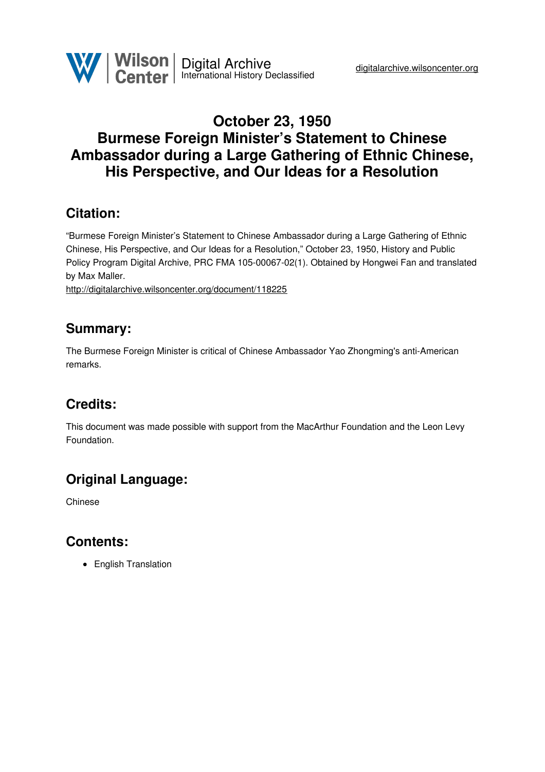

### **October 23, 1950 Burmese Foreign Minister's Statement to Chinese Ambassador during a Large Gathering of Ethnic Chinese, His Perspective, and Our Ideas for a Resolution**

#### **Citation:**

"Burmese Foreign Minister's Statement to Chinese Ambassador during a Large Gathering of Ethnic Chinese, His Perspective, and Our Ideas for a Resolution," October 23, 1950, History and Public Policy Program Digital Archive, PRC FMA 105-00067-02(1). Obtained by Hongwei Fan and translated by Max Maller.

<http://digitalarchive.wilsoncenter.org/document/118225>

#### **Summary:**

The Burmese Foreign Minister is critical of Chinese Ambassador Yao Zhongming's anti-American remarks.

# **Credits:**

This document was made possible with support from the MacArthur Foundation and the Leon Levy Foundation.

# **Original Language:**

Chinese

#### **Contents:**

• English Translation